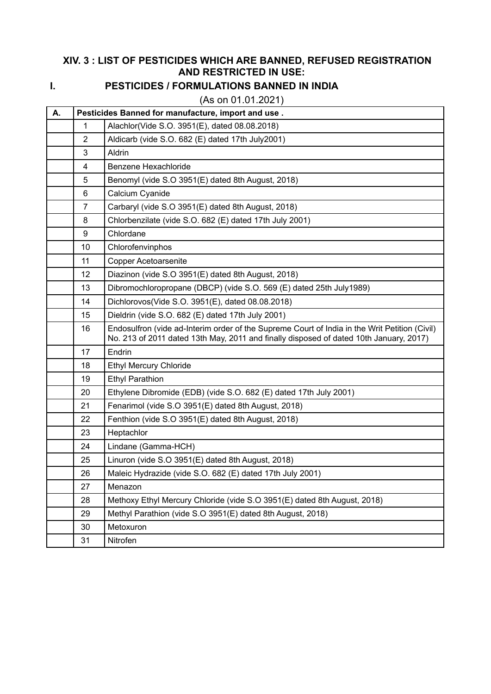## **XIV. 3 : LIST OF PESTICIDES WHICH ARE BANNED, REFUSED REGISTRATION AND RESTRICTED IN USE:**

## **I. PESTICIDES / FORMULATIONS BANNED IN INDIA**

(As on 01.01.2021)

| А. | Pesticides Banned for manufacture, import and use. |                                                                                                                                                                                         |  |
|----|----------------------------------------------------|-----------------------------------------------------------------------------------------------------------------------------------------------------------------------------------------|--|
|    | 1                                                  | Alachlor(Vide S.O. 3951(E), dated 08.08.2018)                                                                                                                                           |  |
|    | $\overline{2}$                                     | Aldicarb (vide S.O. 682 (E) dated 17th July2001)                                                                                                                                        |  |
|    | 3                                                  | Aldrin                                                                                                                                                                                  |  |
|    | $\overline{4}$                                     | Benzene Hexachloride                                                                                                                                                                    |  |
|    | 5                                                  | Benomyl (vide S.O 3951(E) dated 8th August, 2018)                                                                                                                                       |  |
|    | 6                                                  | Calcium Cyanide                                                                                                                                                                         |  |
|    | $\overline{7}$                                     | Carbaryl (vide S.O 3951(E) dated 8th August, 2018)                                                                                                                                      |  |
|    | 8                                                  | Chlorbenzilate (vide S.O. 682 (E) dated 17th July 2001)                                                                                                                                 |  |
|    | 9                                                  | Chlordane                                                                                                                                                                               |  |
|    | 10                                                 | Chlorofenvinphos                                                                                                                                                                        |  |
|    | 11                                                 | <b>Copper Acetoarsenite</b>                                                                                                                                                             |  |
|    | 12                                                 | Diazinon (vide S.O 3951(E) dated 8th August, 2018)                                                                                                                                      |  |
|    | 13                                                 | Dibromochloropropane (DBCP) (vide S.O. 569 (E) dated 25th July1989)                                                                                                                     |  |
|    | 14                                                 | Dichlorovos(Vide S.O. 3951(E), dated 08.08.2018)                                                                                                                                        |  |
|    | 15                                                 | Dieldrin (vide S.O. 682 (E) dated 17th July 2001)                                                                                                                                       |  |
|    | 16                                                 | Endosulfron (vide ad-Interim order of the Supreme Court of India in the Writ Petition (Civil)<br>No. 213 of 2011 dated 13th May, 2011 and finally disposed of dated 10th January, 2017) |  |
|    | 17                                                 | Endrin                                                                                                                                                                                  |  |
|    | 18                                                 | <b>Ethyl Mercury Chloride</b>                                                                                                                                                           |  |
|    | 19                                                 | <b>Ethyl Parathion</b>                                                                                                                                                                  |  |
|    | 20                                                 | Ethylene Dibromide (EDB) (vide S.O. 682 (E) dated 17th July 2001)                                                                                                                       |  |
|    | 21                                                 | Fenarimol (vide S.O 3951(E) dated 8th August, 2018)                                                                                                                                     |  |
|    | 22                                                 | Fenthion (vide S.O 3951(E) dated 8th August, 2018)                                                                                                                                      |  |
|    | 23                                                 | Heptachlor                                                                                                                                                                              |  |
|    | 24                                                 | Lindane (Gamma-HCH)                                                                                                                                                                     |  |
|    | 25                                                 | Linuron (vide S.O 3951(E) dated 8th August, 2018)                                                                                                                                       |  |
|    | 26                                                 | Maleic Hydrazide (vide S.O. 682 (E) dated 17th July 2001)                                                                                                                               |  |
|    | 27                                                 | Menazon                                                                                                                                                                                 |  |
|    | 28                                                 | Methoxy Ethyl Mercury Chloride (vide S.O 3951(E) dated 8th August, 2018)                                                                                                                |  |
|    | 29                                                 | Methyl Parathion (vide S.O 3951(E) dated 8th August, 2018)                                                                                                                              |  |
|    | 30                                                 | Metoxuron                                                                                                                                                                               |  |
|    | 31                                                 | Nitrofen                                                                                                                                                                                |  |